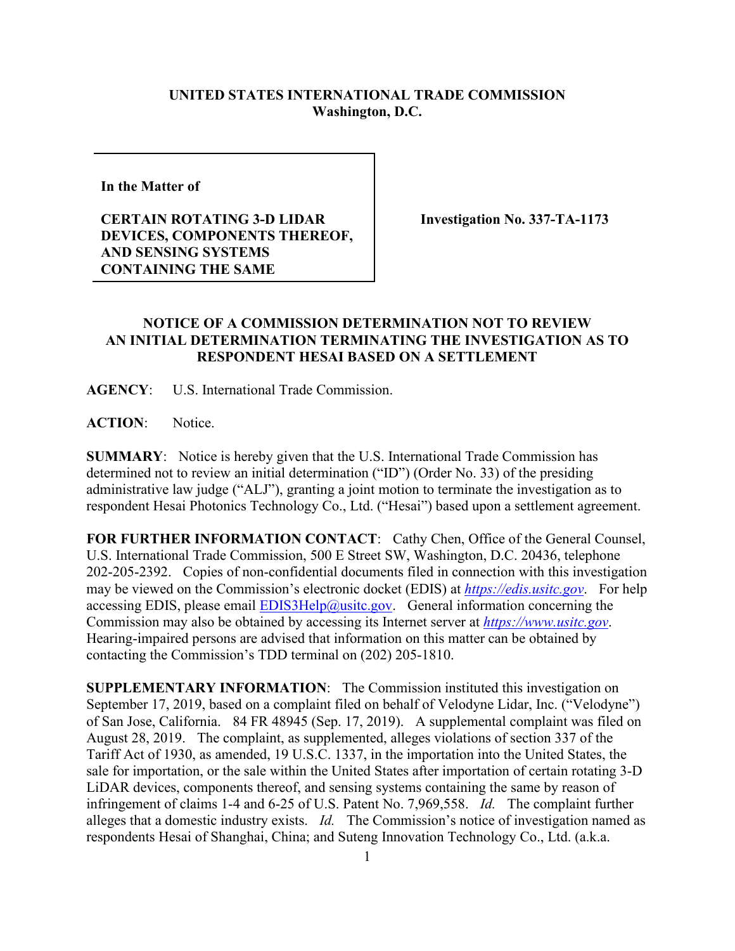## **UNITED STATES INTERNATIONAL TRADE COMMISSION Washington, D.C.**

**In the Matter of** 

**CERTAIN ROTATING 3-D LIDAR DEVICES, COMPONENTS THEREOF, AND SENSING SYSTEMS CONTAINING THE SAME**

**Investigation No. 337-TA-1173**

## **NOTICE OF A COMMISSION DETERMINATION NOT TO REVIEW AN INITIAL DETERMINATION TERMINATING THE INVESTIGATION AS TO RESPONDENT HESAI BASED ON A SETTLEMENT**

**AGENCY**: U.S. International Trade Commission.

**ACTION**: Notice.

**SUMMARY**: Notice is hereby given that the U.S. International Trade Commission has determined not to review an initial determination ("ID") (Order No. 33) of the presiding administrative law judge ("ALJ"), granting a joint motion to terminate the investigation as to respondent Hesai Photonics Technology Co., Ltd. ("Hesai") based upon a settlement agreement.

**FOR FURTHER INFORMATION CONTACT**: Cathy Chen, Office of the General Counsel, U.S. International Trade Commission, 500 E Street SW, Washington, D.C. 20436, telephone 202-205-2392. Copies of non-confidential documents filed in connection with this investigation may be viewed on the Commission's electronic docket (EDIS) at *[https://edis.usitc.gov](https://edis.usitc.gov/)*. For help accessing EDIS, please email  $EDIS3Help@ustc.gov$ . General information concerning the Commission may also be obtained by accessing its Internet server at *[https://www.usitc.gov](https://www.usitc.gov/)*. Hearing-impaired persons are advised that information on this matter can be obtained by contacting the Commission's TDD terminal on (202) 205-1810.

**SUPPLEMENTARY INFORMATION**: The Commission instituted this investigation on September 17, 2019, based on a complaint filed on behalf of Velodyne Lidar, Inc. ("Velodyne") of San Jose, California. 84 FR 48945 (Sep. 17, 2019). A supplemental complaint was filed on August 28, 2019. The complaint, as supplemented, alleges violations of section 337 of the Tariff Act of 1930, as amended, 19 U.S.C. 1337, in the importation into the United States, the sale for importation, or the sale within the United States after importation of certain rotating 3-D LiDAR devices, components thereof, and sensing systems containing the same by reason of infringement of claims 1-4 and 6-25 of U.S. Patent No. 7,969,558. *Id.* The complaint further alleges that a domestic industry exists. *Id.* The Commission's notice of investigation named as respondents Hesai of Shanghai, China; and Suteng Innovation Technology Co., Ltd. (a.k.a.